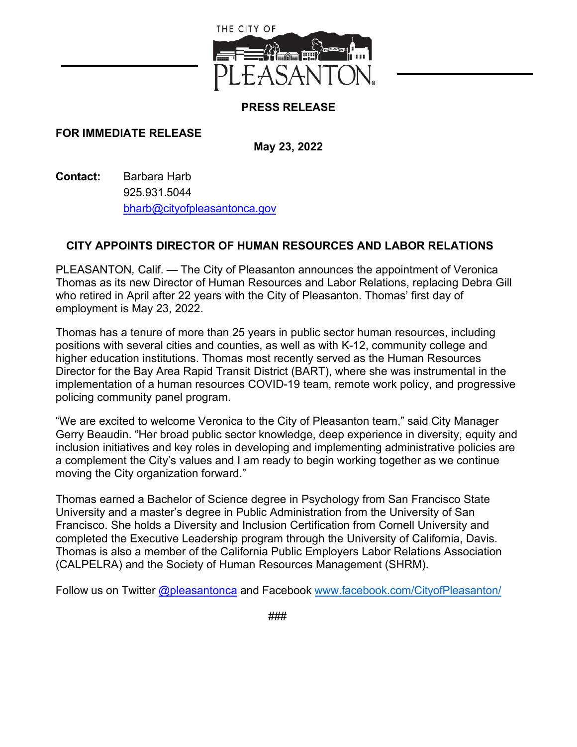

## **PRESS RELEASE**

## **FOR IMMEDIATE RELEASE**

**May 23, 2022**

**Contact:** Barbara Harb 925.931.5044 [bharb@cityofpleasantonca.gov](mailto:bharb@cityofpleasantonca.gov)

## **CITY APPOINTS DIRECTOR OF HUMAN RESOURCES AND LABOR RELATIONS**

PLEASANTON*,* Calif. — The City of Pleasanton announces the appointment of Veronica Thomas as its new Director of Human Resources and Labor Relations, replacing Debra Gill who retired in April after 22 years with the City of Pleasanton. Thomas' first day of employment is May 23, 2022.

Thomas has a tenure of more than 25 years in public sector human resources, including positions with several cities and counties, as well as with K-12, community college and higher education institutions. Thomas most recently served as the Human Resources Director for the Bay Area Rapid Transit District (BART), where she was instrumental in the implementation of a human resources COVID-19 team, remote work policy, and progressive policing community panel program.

"We are excited to welcome Veronica to the City of Pleasanton team," said City Manager Gerry Beaudin. "Her broad public sector knowledge, deep experience in diversity, equity and inclusion initiatives and key roles in developing and implementing administrative policies are a complement the City's values and I am ready to begin working together as we continue moving the City organization forward."

Thomas earned a Bachelor of Science degree in Psychology from San Francisco State University and a master's degree in Public Administration from the University of San Francisco. She holds a Diversity and Inclusion Certification from Cornell University and completed the Executive Leadership program through the University of California, Davis. Thomas is also a member of the California Public Employers Labor Relations Association (CALPELRA) and the Society of Human Resources Management (SHRM).

Follow us on Twitter [@pleasantonca](https://twitter.com/pleasantonca) and Facebook [www.facebook.com/CityofPleasanton/](https://www.facebook.com/CityofPleasanton/)